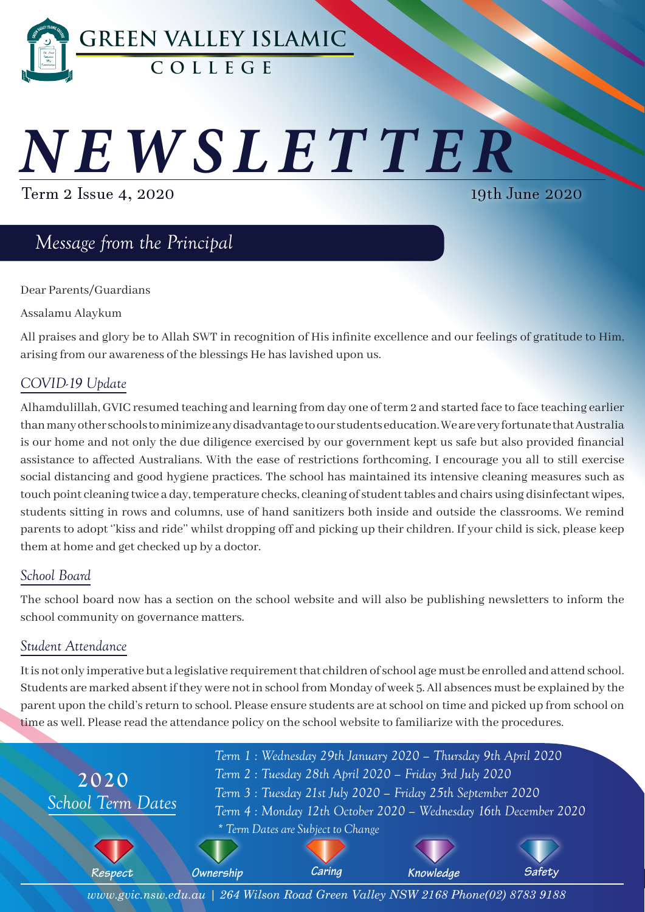

# *NEWSLETTER*

Term 2 Issue 4, 2020

19th June 2020

# *Message from the Principal*

Dear Parents/Guardians

Assalamu Alaykum

All praises and glory be to Allah SWT in recognition of His infinite excellence and our feelings of gratitude to Him, arising from our awareness of the blessings He has lavished upon us.

# *COVID-19 Update*

Alhamdulillah, GVIC resumed teaching and learning from day one of term 2 and started face to face teaching earlier than many other schools to minimize any disadvantage to our students education. We are very fortunate that Australia is our home and not only the due diligence exercised by our government kept us safe but also provided financial assistance to affected Australians. With the ease of restrictions forthcoming, I encourage you all to still exercise social distancing and good hygiene practices. The school has maintained its intensive cleaning measures such as touch point cleaning twice a day, temperature checks, cleaning of student tables and chairs using disinfectant wipes, students sitting in rows and columns, use of hand sanitizers both inside and outside the classrooms. We remind parents to adopt ''kiss and ride'' whilst dropping off and picking up their children. If your child is sick, please keep them at home and get checked up by a doctor.

# *School Board*

The school board now has a section on the school website and will also be publishing newsletters to inform the school community on governance matters.

# *Student Attendance*

It is not only imperative but a legislative requirement that children of school age must be enrolled and attend school. Students are marked absent if they were not in school from Monday of week 5. All absences must be explained by the parent upon the child's return to school. Please ensure students are at school on time and picked up from school on time as well. Please read the attendance policy on the school website to familiarize with the procedures.



*www.gvic.nsw.edu.au | 264 Wilson Road Green Valley NSW 2168 Phone(02) 8783 9188*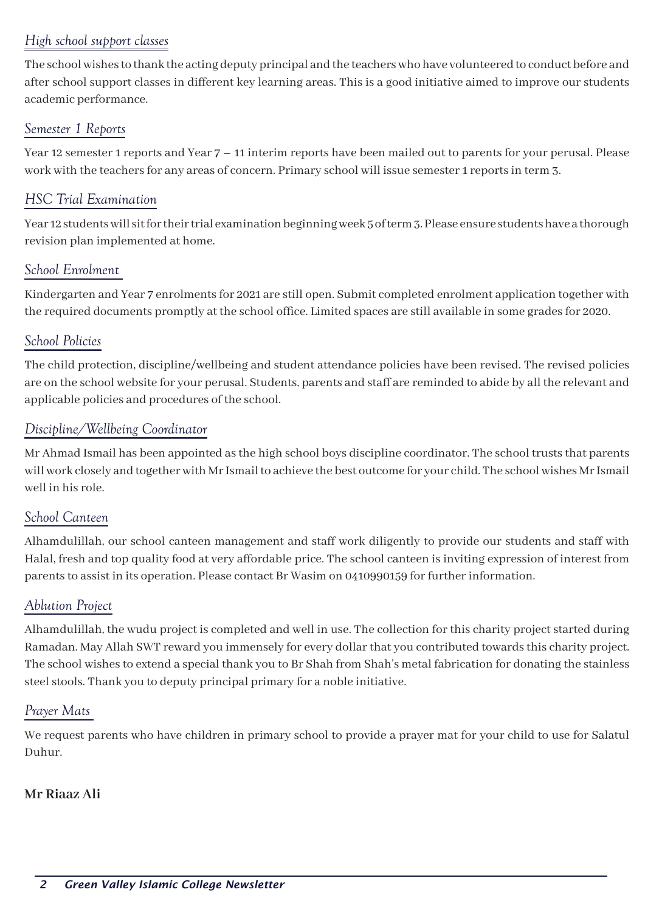# *High school support classes*

The school wishes to thank the acting deputy principal and the teachers who have volunteered to conduct before and after school support classes in different key learning areas. This is a good initiative aimed to improve our students academic performance.

#### *Semester 1 Reports*

Year 12 semester 1 reports and Year 7 – 11 interim reports have been mailed out to parents for your perusal. Please work with the teachers for any areas of concern. Primary school will issue semester 1 reports in term 3.

#### *HSC Trial Examination*

Year 12 students will sit for their trial examination beginning week 5 of term 3. Please ensure students have a thorough revision plan implemented at home.

#### *School Enrolment*

Kindergarten and Year 7 enrolments for 2021 are still open. Submit completed enrolment application together with the required documents promptly at the school office. Limited spaces are still available in some grades for 2020.

#### *School Policies*

The child protection, discipline/wellbeing and student attendance policies have been revised. The revised policies are on the school website for your perusal. Students, parents and staff are reminded to abide by all the relevant and applicable policies and procedures of the school.

#### *Discipline/Wellbeing Coordinator*

Mr Ahmad Ismail has been appointed as the high school boys discipline coordinator. The school trusts that parents will work closely and together with Mr Ismail to achieve the best outcome for your child. The school wishes Mr Ismail well in his role.

#### *School Canteen*

Alhamdulillah, our school canteen management and staff work diligently to provide our students and staff with Halal, fresh and top quality food at very affordable price. The school canteen is inviting expression of interest from parents to assist in its operation. Please contact Br Wasim on 0410990159 for further information.

#### *Ablution Project*

Alhamdulillah, the wudu project is completed and well in use. The collection for this charity project started during Ramadan. May Allah SWT reward you immensely for every dollar that you contributed towards this charity project. The school wishes to extend a special thank you to Br Shah from Shah's metal fabrication for donating the stainless steel stools. Thank you to deputy principal primary for a noble initiative.

#### *Prayer Mats*

We request parents who have children in primary school to provide a prayer mat for your child to use for Salatul Duhur.

#### **Mr Riaaz Ali**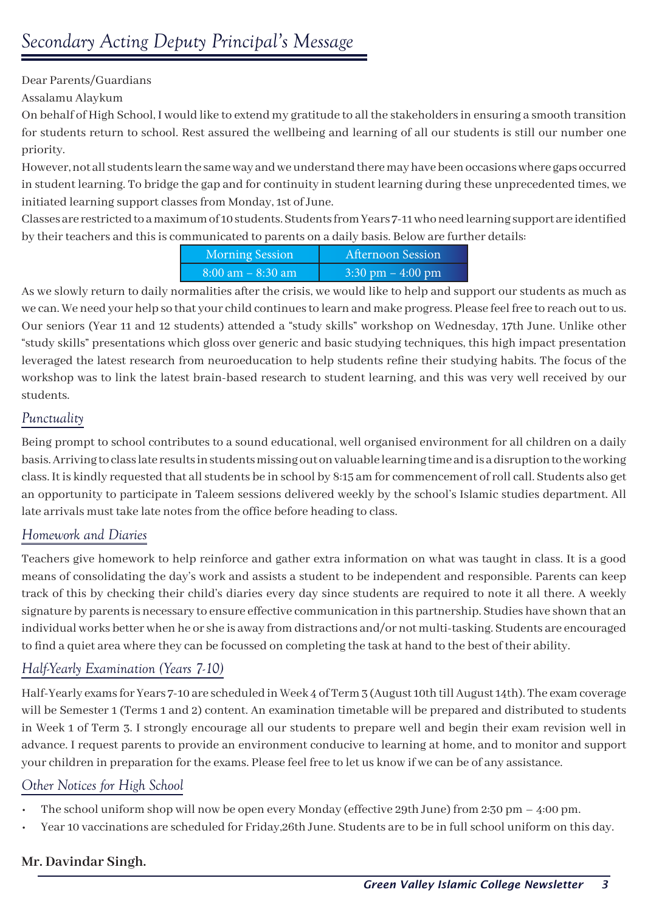Dear Parents/Guardians

Assalamu Alaykum

On behalf of High School, I would like to extend my gratitude to all the stakeholders in ensuring a smooth transition for students return to school. Rest assured the wellbeing and learning of all our students is still our number one priority.

However, not all students learn the same way and we understand there may have been occasions where gaps occurred in student learning. To bridge the gap and for continuity in student learning during these unprecedented times, we initiated learning support classes from Monday, 1st of June.

Classes are restricted to a maximum of 10 students. Students from Years 7-11 who need learning support are identified by their teachers and this is communicated to parents on a daily basis. Below are further details:

| <b>Morning Session</b> | Afternoon Session                   |
|------------------------|-------------------------------------|
| $8:00$ am $-8:30$ am   | $3:30 \text{ pm} - 4:00 \text{ pm}$ |

As we slowly return to daily normalities after the crisis, we would like to help and support our students as much as we can. We need your help so that your child continues to learn and make progress. Please feel free to reach out to us. Our seniors (Year 11 and 12 students) attended a "study skills" workshop on Wednesday, 17th June. Unlike other "study skills" presentations which gloss over generic and basic studying techniques, this high impact presentation leveraged the latest research from neuroeducation to help students refine their studying habits. The focus of the workshop was to link the latest brain-based research to student learning, and this was very well received by our students.

# *Punctuality*

Being prompt to school contributes to a sound educational, well organised environment for all children on a daily basis. Arriving to class late results in students missing out on valuable learning time and is a disruption to the working class. It is kindly requested that all students be in school by 8:15 am for commencement of roll call. Students also get an opportunity to participate in Taleem sessions delivered weekly by the school's Islamic studies department. All late arrivals must take late notes from the office before heading to class.

# *Homework and Diaries*

Teachers give homework to help reinforce and gather extra information on what was taught in class. It is a good means of consolidating the day's work and assists a student to be independent and responsible. Parents can keep track of this by checking their child's diaries every day since students are required to note it all there. A weekly signature by parents is necessary to ensure effective communication in this partnership. Studies have shown that an individual works better when he or she is away from distractions and/or not multi-tasking. Students are encouraged to find a quiet area where they can be focussed on completing the task at hand to the best of their ability.

# *Half-Yearly Examination (Years 7-10)*

Half-Yearly exams for Years 7-10 are scheduled in Week 4 of Term 3 (August 10th till August 14th). The exam coverage will be Semester 1 (Terms 1 and 2) content. An examination timetable will be prepared and distributed to students in Week 1 of Term 3. I strongly encourage all our students to prepare well and begin their exam revision well in advance. I request parents to provide an environment conducive to learning at home, and to monitor and support your children in preparation for the exams. Please feel free to let us know if we can be of any assistance.

#### *Other Notices for High School*

- The school uniform shop will now be open every Monday (effective 29th June) from 2:30 pm 4:00 pm.
- Year 10 vaccinations are scheduled for Friday,26th June. Students are to be in full school uniform on this day.

#### **Mr. Davindar Singh.**